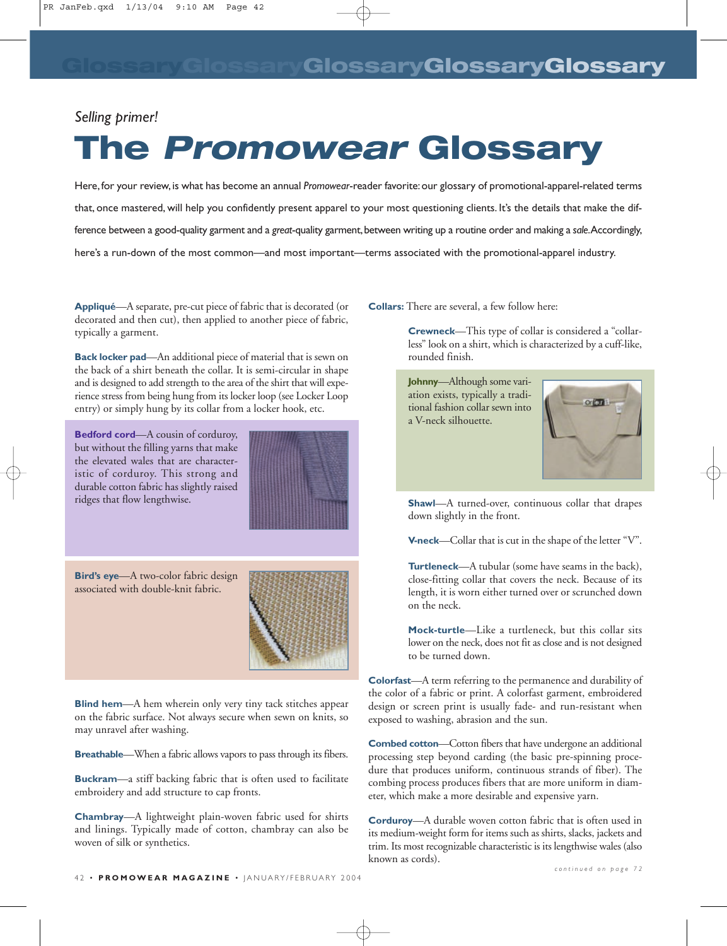## *Selling primer!*

## **The** *Promowear* **Glossary**

Here,for your review,is what has become an annual *Promowear*-reader favorite:our glossary of promotional-apparel-related terms that, once mastered, will help you confidently present apparel to your most questioning clients. It's the details that make the difference between a good-quality garment and a great-quality garment, between writing up a routine order and making a sale.Accordingly, here's a run-down of the most common—and most important—terms associated with the promotional-apparel industry.

**Appliqué**—A separate, pre-cut piece of fabric that is decorated (or decorated and then cut), then applied to another piece of fabric, typically a garment.

**Back locker pad**—An additional piece of material that is sewn on the back of a shirt beneath the collar. It is semi-circular in shape and is designed to add strength to the area of the shirt that will experience stress from being hung from its locker loop (see Locker Loop entry) or simply hung by its collar from a locker hook, etc.

**Bedford cord**—A cousin of corduroy, but without the filling yarns that make the elevated wales that are characteristic of corduroy. This strong and durable cotton fabric has slightly raised ridges that flow lengthwise.



**Bird's eye**—A two-color fabric design associated with double-knit fabric.



**Breathable**—When a fabric allows vapors to pass through its fibers.

**Buckram**—a stiff backing fabric that is often used to facilitate embroidery and add structure to cap fronts.

**Chambray**—A lightweight plain-woven fabric used for shirts and linings. Typically made of cotton, chambray can also be woven of silk or synthetics.

**Collars:** There are several, a few follow here:

**Crewneck**—This type of collar is considered a "collarless" look on a shirt, which is characterized by a cuff-like, rounded finish.

**Johnny**—Although some variation exists, typically a traditional fashion collar sewn into a V-neck silhouette.



**Shawl**—A turned-over, continuous collar that drapes down slightly in the front.

**V-neck**—Collar that is cut in the shape of the letter "V".

**Turtleneck**—A tubular (some have seams in the back), close-fitting collar that covers the neck. Because of its length, it is worn either turned over or scrunched down on the neck.

**Mock-turtle**—Like a turtleneck, but this collar sits lower on the neck, does not fit as close and is not designed to be turned down.

**Colorfast**—A term referring to the permanence and durability of the color of a fabric or print. A colorfast garment, embroidered design or screen print is usually fade- and run-resistant when exposed to washing, abrasion and the sun.

**Combed cotton**—Cotton fibers that have undergone an additional processing step beyond carding (the basic pre-spinning procedure that produces uniform, continuous strands of fiber). The combing process produces fibers that are more uniform in diameter, which make a more desirable and expensive yarn.

**Corduroy**—A durable woven cotton fabric that is often used in its medium-weight form for items such as shirts, slacks, jackets and trim. Its most recognizable characteristic is its lengthwise wales (also known as cords).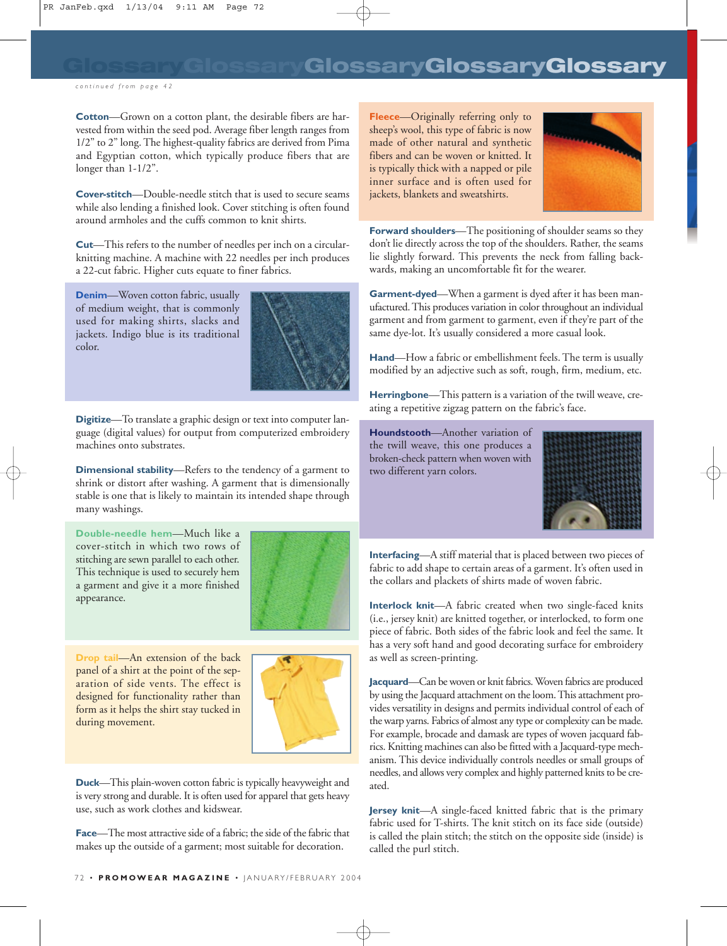## **GlossaryGlossaryGlossaryGlossaryGlossary**

*continued from page 42*

**Cotton**—Grown on a cotton plant, the desirable fibers are harvested from within the seed pod. Average fiber length ranges from 1/2" to 2" long. The highest-quality fabrics are derived from Pima and Egyptian cotton, which typically produce fibers that are longer than  $1-1/2$ ".

**Cover-stitch**—Double-needle stitch that is used to secure seams while also lending a finished look. Cover stitching is often found around armholes and the cuffs common to knit shirts.

**Cut**—This refers to the number of needles per inch on a circularknitting machine. A machine with 22 needles per inch produces a 22-cut fabric. Higher cuts equate to finer fabrics.

**Denim**—Woven cotton fabric, usually of medium weight, that is commonly used for making shirts, slacks and jackets. Indigo blue is its traditional color.



**Digitize**—To translate a graphic design or text into computer language (digital values) for output from computerized embroidery machines onto substrates.

**Dimensional stability**—Refers to the tendency of a garment to shrink or distort after washing. A garment that is dimensionally stable is one that is likely to maintain its intended shape through many washings.

**Double-needle hem**—Much like a cover-stitch in which two rows of stitching are sewn parallel to each other. This technique is used to securely hem a garment and give it a more finished appearance.



**Drop tail**—An extension of the back panel of a shirt at the point of the separation of side vents. The effect is designed for functionality rather than form as it helps the shirt stay tucked in during movement.



**Duck**—This plain-woven cotton fabric is typically heavyweight and is very strong and durable. It is often used for apparel that gets heavy use, such as work clothes and kidswear.

**Face**—The most attractive side of a fabric; the side of the fabric that makes up the outside of a garment; most suitable for decoration.

**Fleece**—Originally referring only to sheep's wool, this type of fabric is now made of other natural and synthetic fibers and can be woven or knitted. It is typically thick with a napped or pile inner surface and is often used for jackets, blankets and sweatshirts.



**Forward shoulders**—The positioning of shoulder seams so they don't lie directly across the top of the shoulders. Rather, the seams lie slightly forward. This prevents the neck from falling backwards, making an uncomfortable fit for the wearer.

**Garment-dyed**—When a garment is dyed after it has been manufactured. This produces variation in color throughout an individual garment and from garment to garment, even if they're part of the same dye-lot. It's usually considered a more casual look.

**Hand**—How a fabric or embellishment feels. The term is usually modified by an adjective such as soft, rough, firm, medium, etc.

**Herringbone**—This pattern is a variation of the twill weave, creating a repetitive zigzag pattern on the fabric's face.

**Houndstooth**—Another variation of the twill weave, this one produces a broken-check pattern when woven with two different yarn colors.



**Interfacing**—A stiff material that is placed between two pieces of fabric to add shape to certain areas of a garment. It's often used in the collars and plackets of shirts made of woven fabric.

**Interlock knit**—A fabric created when two single-faced knits (i.e., jersey knit) are knitted together, or interlocked, to form one piece of fabric. Both sides of the fabric look and feel the same. It has a very soft hand and good decorating surface for embroidery as well as screen-printing.

**Jacquard**—Can be woven or knit fabrics. Woven fabrics are produced by using the Jacquard attachment on the loom. This attachment provides versatility in designs and permits individual control of each of the warp yarns. Fabrics of almost any type or complexity can be made. For example, brocade and damask are types of woven jacquard fabrics. Knitting machines can also be fitted with a Jacquard-type mechanism. This device individually controls needles or small groups of needles, and allows very complex and highly patterned knits to be created.

**Jersey knit**—A single-faced knitted fabric that is the primary fabric used for T-shirts. The knit stitch on its face side (outside) is called the plain stitch; the stitch on the opposite side (inside) is called the purl stitch.